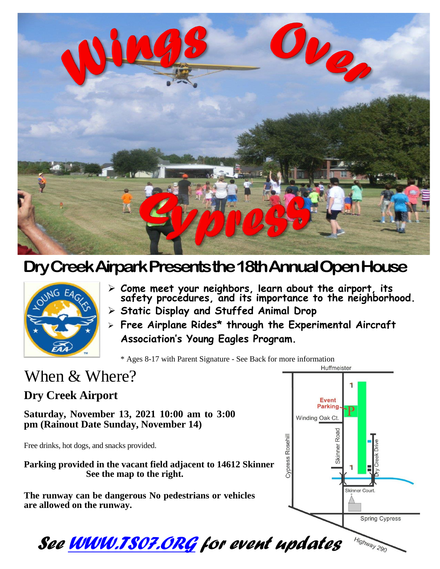

## **Dry Creek Airpark Presents the 18th Annual Open House**



- ➢ **Come meet your neighbors, learn about the airport, its safety procedures, and its importance to the neighborhood.**
- ➢ **Static Display and Stuffed Animal Drop**
- ➢ **Free Airplane Rides\* through the Experimental Aircraft Association's Young Eagles Program.**

\* Ages 8-17 with Parent Signature - See Back for more information